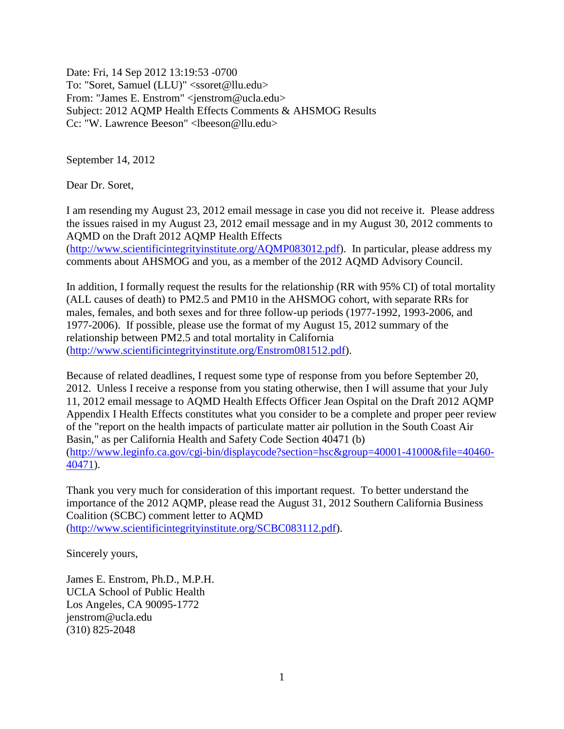Date: Fri, 14 Sep 2012 13:19:53 -0700 To: "Soret, Samuel (LLU)" <ssoret@llu.edu> From: "James E. Enstrom" <jenstrom@ucla.edu> Subject: 2012 AQMP Health Effects Comments & AHSMOG Results Cc: "W. Lawrence Beeson" <lbeeson@llu.edu>

September 14, 2012

Dear Dr. Soret,

I am resending my August 23, 2012 email message in case you did not receive it. Please address the issues raised in my August 23, 2012 email message and in my August 30, 2012 comments to AQMD on the Draft 2012 AQMP Health Effects

[\(http://www.scientificintegrityinstitute.org/AQMP083012.pdf\)](http://www.scientificintegrityinstitute.org/AQMP083012.pdf). In particular, please address my comments about AHSMOG and you, as a member of the 2012 AQMD Advisory Council.

In addition, I formally request the results for the relationship (RR with 95% CI) of total mortality (ALL causes of death) to PM2.5 and PM10 in the AHSMOG cohort, with separate RRs for males, females, and both sexes and for three follow-up periods (1977-1992, 1993-2006, and 1977-2006). If possible, please use the format of my August 15, 2012 summary of the relationship between PM2.5 and total mortality in California [\(http://www.scientificintegrityinstitute.org/Enstrom081512.pdf\)](http://www.scientificintegrityinstitute.org/Enstrom081512.pdf).

Because of related deadlines, I request some type of response from you before September 20, 2012. Unless I receive a response from you stating otherwise, then I will assume that your July 11, 2012 email message to AQMD Health Effects Officer Jean Ospital on the Draft 2012 AQMP Appendix I Health Effects constitutes what you consider to be a complete and proper peer review of the "report on the health impacts of particulate matter air pollution in the South Coast Air Basin," as per California Health and Safety Code Section 40471 (b) [\(http://www.leginfo.ca.gov/cgi-bin/displaycode?section=hsc&group=40001-41000&file=40460-](http://www.leginfo.ca.gov/cgi-bin/displaycode?section=hsc&group=40001-41000&file=40460-40471) [40471\)](http://www.leginfo.ca.gov/cgi-bin/displaycode?section=hsc&group=40001-41000&file=40460-40471).

Thank you very much for consideration of this important request. To better understand the importance of the 2012 AQMP, please read the August 31, 2012 Southern California Business Coalition (SCBC) comment letter to AQMD [\(http://www.scientificintegrityinstitute.org/SCBC083112.pdf\)](http://www.scientificintegrityinstitute.org/SCBC083112.pdf).

Sincerely yours,

James E. Enstrom, Ph.D., M.P.H. UCLA School of Public Health Los Angeles, CA 90095-1772 jenstrom@ucla.edu (310) 825-2048